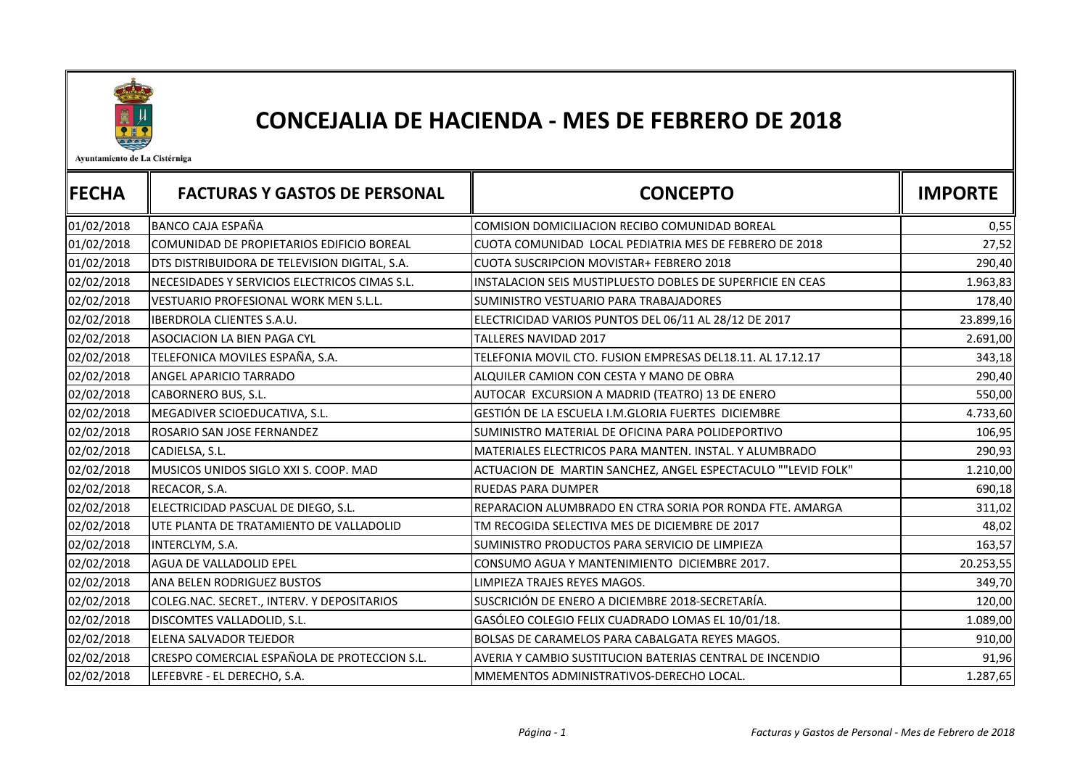

## CONCEJALIA DE HACIENDA - MES DE FEBRERO DE 2018

Ayuntamiento de La Cistérniga

| <b> FECHA</b> | <b>FACTURAS Y GASTOS DE PERSONAL</b>          | <b>CONCEPTO</b>                                              | <b>IMPORTE</b> |
|---------------|-----------------------------------------------|--------------------------------------------------------------|----------------|
| 01/02/2018    | <b>BANCO CAJA ESPAÑA</b>                      | COMISION DOMICILIACION RECIBO COMUNIDAD BOREAL               | 0,55           |
| 01/02/2018    | COMUNIDAD DE PROPIETARIOS EDIFICIO BOREAL     | CUOTA COMUNIDAD LOCAL PEDIATRIA MES DE FEBRERO DE 2018       | 27,52          |
| 01/02/2018    | DTS DISTRIBUIDORA DE TELEVISION DIGITAL, S.A. | CUOTA SUSCRIPCION MOVISTAR+ FEBRERO 2018                     | 290,40         |
| 02/02/2018    | NECESIDADES Y SERVICIOS ELECTRICOS CIMAS S.L. | INSTALACION SEIS MUSTIPLUESTO DOBLES DE SUPERFICIE EN CEAS   | 1.963,83       |
| 02/02/2018    | <b>VESTUARIO PROFESIONAL WORK MEN S.L.L.</b>  | SUMINISTRO VESTUARIO PARA TRABAJADORES                       | 178,40         |
| 02/02/2018    | IBERDROLA CLIENTES S.A.U.                     | ELECTRICIDAD VARIOS PUNTOS DEL 06/11 AL 28/12 DE 2017        | 23.899,16      |
| 02/02/2018    | ASOCIACION LA BIEN PAGA CYL                   | <b>TALLERES NAVIDAD 2017</b>                                 | 2.691,00       |
| 02/02/2018    | TELEFONICA MOVILES ESPAÑA, S.A.               | TELEFONIA MOVIL CTO. FUSION EMPRESAS DEL18.11. AL 17.12.17   | 343,18         |
| 02/02/2018    | ANGEL APARICIO TARRADO                        | ALQUILER CAMION CON CESTA Y MANO DE OBRA                     | 290,40         |
| 02/02/2018    | CABORNERO BUS, S.L.                           | AUTOCAR EXCURSION A MADRID (TEATRO) 13 DE ENERO              | 550,00         |
| 02/02/2018    | MEGADIVER SCIOEDUCATIVA, S.L.                 | GESTIÓN DE LA ESCUELA I.M.GLORIA FUERTES DICIEMBRE           | 4.733,60       |
| 02/02/2018    | ROSARIO SAN JOSE FERNANDEZ                    | SUMINISTRO MATERIAL DE OFICINA PARA POLIDEPORTIVO            | 106,95         |
| 02/02/2018    | CADIELSA, S.L.                                | MATERIALES ELECTRICOS PARA MANTEN. INSTAL. Y ALUMBRADO       | 290,93         |
| 02/02/2018    | MUSICOS UNIDOS SIGLO XXI S. COOP. MAD         | ACTUACION DE MARTIN SANCHEZ, ANGEL ESPECTACULO ""LEVID FOLK" | 1.210,00       |
| 02/02/2018    | RECACOR, S.A.                                 | <b>RUEDAS PARA DUMPER</b>                                    | 690,18         |
| 02/02/2018    | ELECTRICIDAD PASCUAL DE DIEGO, S.L.           | REPARACION ALUMBRADO EN CTRA SORIA POR RONDA FTE. AMARGA     | 311,02         |
| 02/02/2018    | UTE PLANTA DE TRATAMIENTO DE VALLADOLID       | TM RECOGIDA SELECTIVA MES DE DICIEMBRE DE 2017               | 48,02          |
| 02/02/2018    | INTERCLYM, S.A.                               | SUMINISTRO PRODUCTOS PARA SERVICIO DE LIMPIEZA               | 163,57         |
| 02/02/2018    | AGUA DE VALLADOLID EPEL                       | CONSUMO AGUA Y MANTENIMIENTO DICIEMBRE 2017.                 | 20.253,55      |
| 02/02/2018    | ANA BELEN RODRIGUEZ BUSTOS                    | LIMPIEZA TRAJES REYES MAGOS.                                 | 349,70         |
| 02/02/2018    | COLEG.NAC. SECRET., INTERV. Y DEPOSITARIOS    | SUSCRICIÓN DE ENERO A DICIEMBRE 2018-SECRETARÍA.             | 120,00         |
| 02/02/2018    | DISCOMTES VALLADOLID, S.L.                    | GASÓLEO COLEGIO FELIX CUADRADO LOMAS EL 10/01/18.            | 1.089,00       |
| 02/02/2018    | ELENA SALVADOR TEJEDOR                        | BOLSAS DE CARAMELOS PARA CABALGATA REYES MAGOS.              | 910,00         |
| 02/02/2018    | CRESPO COMERCIAL ESPAÑOLA DE PROTECCION S.L.  | AVERIA Y CAMBIO SUSTITUCION BATERIAS CENTRAL DE INCENDIO     | 91,96          |
| 02/02/2018    | LEFEBVRE - EL DERECHO, S.A.                   | MMEMENTOS ADMINISTRATIVOS-DERECHO LOCAL.                     | 1.287,65       |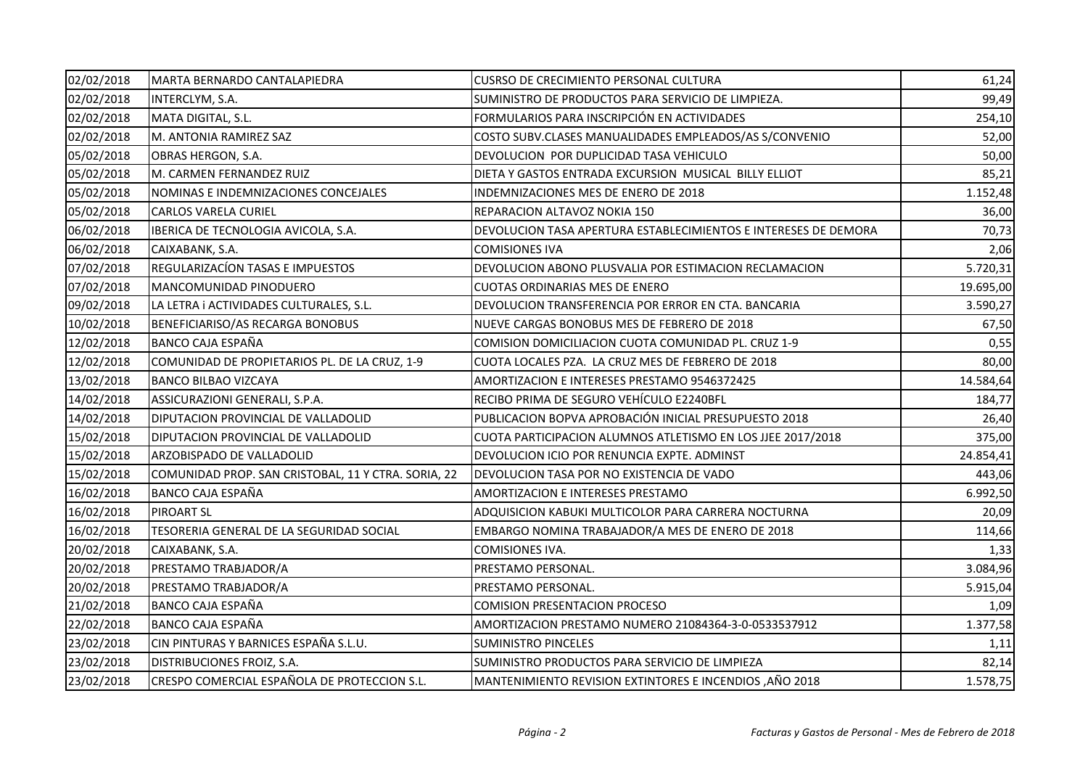| 02/02/2018 | MARTA BERNARDO CANTALAPIEDRA                        | CUSRSO DE CRECIMIENTO PERSONAL CULTURA                          | 61,24     |
|------------|-----------------------------------------------------|-----------------------------------------------------------------|-----------|
| 02/02/2018 | INTERCLYM, S.A.                                     | SUMINISTRO DE PRODUCTOS PARA SERVICIO DE LIMPIEZA.              | 99,49     |
| 02/02/2018 | MATA DIGITAL, S.L.                                  | FORMULARIOS PARA INSCRIPCIÓN EN ACTIVIDADES                     | 254,10    |
| 02/02/2018 | M. ANTONIA RAMIREZ SAZ                              | COSTO SUBV.CLASES MANUALIDADES EMPLEADOS/AS S/CONVENIO          | 52,00     |
| 05/02/2018 | OBRAS HERGON, S.A.                                  | DEVOLUCION POR DUPLICIDAD TASA VEHICULO                         | 50,00     |
| 05/02/2018 | M. CARMEN FERNANDEZ RUIZ                            | DIETA Y GASTOS ENTRADA EXCURSION MUSICAL BILLY ELLIOT           | 85,21     |
| 05/02/2018 | NOMINAS E INDEMNIZACIONES CONCEJALES                | INDEMNIZACIONES MES DE ENERO DE 2018                            | 1.152,48  |
| 05/02/2018 | <b>CARLOS VARELA CURIEL</b>                         | REPARACION ALTAVOZ NOKIA 150                                    | 36,00     |
| 06/02/2018 | IBERICA DE TECNOLOGIA AVICOLA, S.A.                 | DEVOLUCION TASA APERTURA ESTABLECIMIENTOS E INTERESES DE DEMORA | 70,73     |
| 06/02/2018 | CAIXABANK, S.A.                                     | <b>COMISIONES IVA</b>                                           | 2,06      |
| 07/02/2018 | REGULARIZACÍON TASAS E IMPUESTOS                    | DEVOLUCION ABONO PLUSVALIA POR ESTIMACION RECLAMACION           | 5.720,31  |
| 07/02/2018 | MANCOMUNIDAD PINODUERO                              | CUOTAS ORDINARIAS MES DE ENERO                                  | 19.695,00 |
| 09/02/2018 | LA LETRA i ACTIVIDADES CULTURALES, S.L.             | DEVOLUCION TRANSFERENCIA POR ERROR EN CTA. BANCARIA             | 3.590,27  |
| 10/02/2018 | BENEFICIARISO/AS RECARGA BONOBUS                    | NUEVE CARGAS BONOBUS MES DE FEBRERO DE 2018                     | 67,50     |
| 12/02/2018 | BANCO CAJA ESPAÑA                                   | COMISION DOMICILIACION CUOTA COMUNIDAD PL. CRUZ 1-9             | 0,55      |
| 12/02/2018 | COMUNIDAD DE PROPIETARIOS PL. DE LA CRUZ, 1-9       | CUOTA LOCALES PZA. LA CRUZ MES DE FEBRERO DE 2018               | 80,00     |
| 13/02/2018 | <b>BANCO BILBAO VIZCAYA</b>                         | AMORTIZACION E INTERESES PRESTAMO 9546372425                    | 14.584,64 |
| 14/02/2018 | ASSICURAZIONI GENERALI, S.P.A.                      | RECIBO PRIMA DE SEGURO VEHÍCULO E2240BFL                        | 184,77    |
| 14/02/2018 | DIPUTACION PROVINCIAL DE VALLADOLID                 | PUBLICACION BOPVA APROBACIÓN INICIAL PRESUPUESTO 2018           | 26,40     |
| 15/02/2018 | DIPUTACION PROVINCIAL DE VALLADOLID                 | CUOTA PARTICIPACION ALUMNOS ATLETISMO EN LOS JJEE 2017/2018     | 375,00    |
| 15/02/2018 | ARZOBISPADO DE VALLADOLID                           | DEVOLUCION ICIO POR RENUNCIA EXPTE. ADMINST                     | 24.854,41 |
| 15/02/2018 | COMUNIDAD PROP. SAN CRISTOBAL, 11 Y CTRA. SORIA, 22 | DEVOLUCION TASA POR NO EXISTENCIA DE VADO                       | 443,06    |
| 16/02/2018 | <b>BANCO CAJA ESPAÑA</b>                            | AMORTIZACION E INTERESES PRESTAMO                               | 6.992,50  |
| 16/02/2018 | <b>PIROART SL</b>                                   | ADQUISICION KABUKI MULTICOLOR PARA CARRERA NOCTURNA             | 20,09     |
| 16/02/2018 | TESORERIA GENERAL DE LA SEGURIDAD SOCIAL            | EMBARGO NOMINA TRABAJADOR/A MES DE ENERO DE 2018                | 114,66    |
| 20/02/2018 | CAIXABANK, S.A.                                     | <b>COMISIONES IVA.</b>                                          | 1,33      |
| 20/02/2018 | PRESTAMO TRABJADOR/A                                | PRESTAMO PERSONAL.                                              | 3.084,96  |
| 20/02/2018 | PRESTAMO TRABJADOR/A                                | PRESTAMO PERSONAL.                                              | 5.915,04  |
| 21/02/2018 | BANCO CAJA ESPAÑA                                   | <b>COMISION PRESENTACION PROCESO</b>                            | 1,09      |
| 22/02/2018 | BANCO CAJA ESPAÑA                                   | AMORTIZACION PRESTAMO NUMERO 21084364-3-0-0533537912            | 1.377,58  |
| 23/02/2018 | CIN PINTURAS Y BARNICES ESPAÑA S.L.U.               | <b>SUMINISTRO PINCELES</b>                                      | 1,11      |
| 23/02/2018 | DISTRIBUCIONES FROIZ, S.A.                          | SUMINISTRO PRODUCTOS PARA SERVICIO DE LIMPIEZA                  | 82,14     |
| 23/02/2018 | CRESPO COMERCIAL ESPAÑOLA DE PROTECCION S.L.        | MANTENIMIENTO REVISION EXTINTORES E INCENDIOS, AÑO 2018         | 1.578,75  |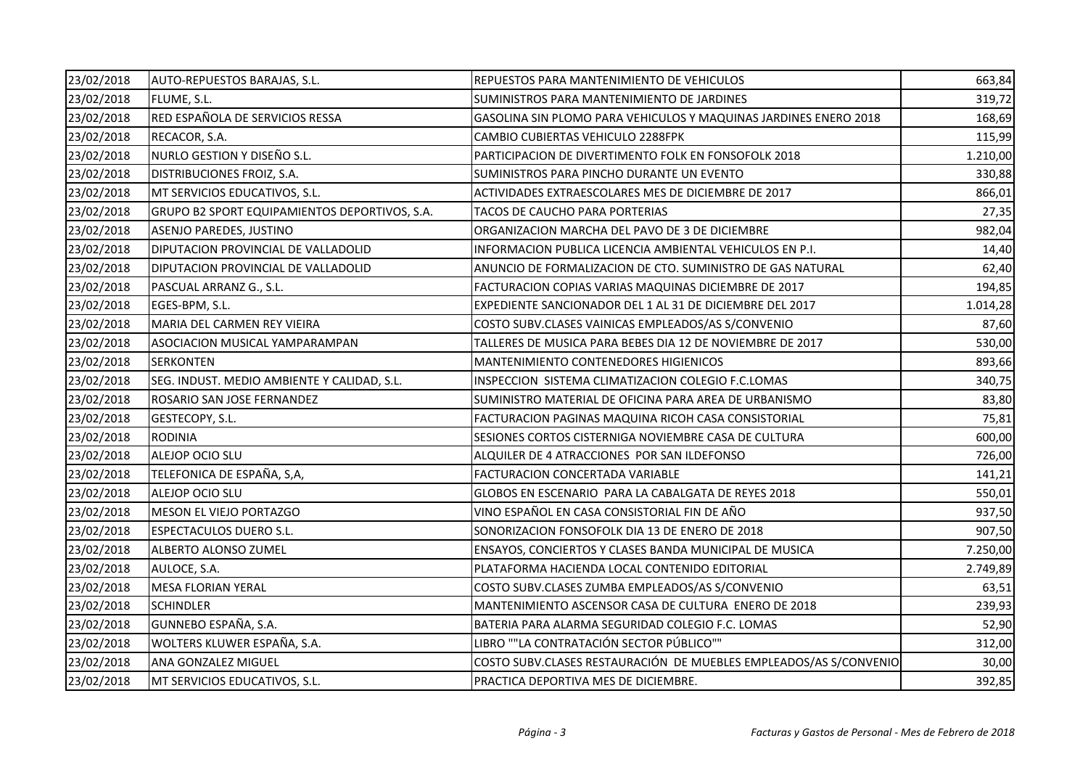| 23/02/2018 | AUTO-REPUESTOS BARAJAS, S.L.                  | REPUESTOS PARA MANTENIMIENTO DE VEHICULOS                         | 663,84   |
|------------|-----------------------------------------------|-------------------------------------------------------------------|----------|
| 23/02/2018 | FLUME, S.L.                                   | SUMINISTROS PARA MANTENIMIENTO DE JARDINES                        | 319,72   |
| 23/02/2018 | RED ESPAÑOLA DE SERVICIOS RESSA               | GASOLINA SIN PLOMO PARA VEHICULOS Y MAQUINAS JARDINES ENERO 2018  | 168,69   |
| 23/02/2018 | RECACOR, S.A.                                 | CAMBIO CUBIERTAS VEHICULO 2288FPK                                 | 115,99   |
| 23/02/2018 | NURLO GESTION Y DISEÑO S.L.                   | PARTICIPACION DE DIVERTIMENTO FOLK EN FONSOFOLK 2018              | 1.210,00 |
| 23/02/2018 | DISTRIBUCIONES FROIZ, S.A.                    | SUMINISTROS PARA PINCHO DURANTE UN EVENTO                         | 330,88   |
| 23/02/2018 | MT SERVICIOS EDUCATIVOS, S.L.                 | ACTIVIDADES EXTRAESCOLARES MES DE DICIEMBRE DE 2017               | 866,01   |
| 23/02/2018 | GRUPO B2 SPORT EQUIPAMIENTOS DEPORTIVOS, S.A. | TACOS DE CAUCHO PARA PORTERIAS                                    | 27,35    |
| 23/02/2018 | ASENJO PAREDES, JUSTINO                       | ORGANIZACION MARCHA DEL PAVO DE 3 DE DICIEMBRE                    | 982,04   |
| 23/02/2018 | DIPUTACION PROVINCIAL DE VALLADOLID           | INFORMACION PUBLICA LICENCIA AMBIENTAL VEHICULOS EN P.I.          | 14,40    |
| 23/02/2018 | DIPUTACION PROVINCIAL DE VALLADOLID           | ANUNCIO DE FORMALIZACION DE CTO. SUMINISTRO DE GAS NATURAL        | 62,40    |
| 23/02/2018 | PASCUAL ARRANZ G., S.L.                       | FACTURACION COPIAS VARIAS MAQUINAS DICIEMBRE DE 2017              | 194,85   |
| 23/02/2018 | EGES-BPM, S.L.                                | EXPEDIENTE SANCIONADOR DEL 1 AL 31 DE DICIEMBRE DEL 2017          | 1.014,28 |
| 23/02/2018 | MARIA DEL CARMEN REY VIEIRA                   | COSTO SUBV.CLASES VAINICAS EMPLEADOS/AS S/CONVENIO                | 87,60    |
| 23/02/2018 | ASOCIACION MUSICAL YAMPARAMPAN                | TALLERES DE MUSICA PARA BEBES DIA 12 DE NOVIEMBRE DE 2017         | 530,00   |
| 23/02/2018 | <b>SERKONTEN</b>                              | MANTENIMIENTO CONTENEDORES HIGIENICOS                             | 893,66   |
| 23/02/2018 | SEG. INDUST. MEDIO AMBIENTE Y CALIDAD, S.L.   | INSPECCION SISTEMA CLIMATIZACION COLEGIO F.C.LOMAS                | 340,75   |
| 23/02/2018 | ROSARIO SAN JOSE FERNANDEZ                    | SUMINISTRO MATERIAL DE OFICINA PARA AREA DE URBANISMO             | 83,80    |
| 23/02/2018 | GESTECOPY, S.L.                               | FACTURACION PAGINAS MAQUINA RICOH CASA CONSISTORIAL               | 75,81    |
| 23/02/2018 | <b>RODINIA</b>                                | SESIONES CORTOS CISTERNIGA NOVIEMBRE CASA DE CULTURA              | 600,00   |
| 23/02/2018 | ALEJOP OCIO SLU                               | ALQUILER DE 4 ATRACCIONES POR SAN ILDEFONSO                       | 726,00   |
| 23/02/2018 | TELEFONICA DE ESPAÑA, S,A,                    | <b>FACTURACION CONCERTADA VARIABLE</b>                            | 141,21   |
| 23/02/2018 | ALEJOP OCIO SLU                               | GLOBOS EN ESCENARIO PARA LA CABALGATA DE REYES 2018               | 550,01   |
| 23/02/2018 | MESON EL VIEJO PORTAZGO                       | VINO ESPAÑOL EN CASA CONSISTORIAL FIN DE AÑO                      | 937,50   |
| 23/02/2018 | <b>ESPECTACULOS DUERO S.L.</b>                | SONORIZACION FONSOFOLK DIA 13 DE ENERO DE 2018                    | 907,50   |
| 23/02/2018 | ALBERTO ALONSO ZUMEL                          | ENSAYOS, CONCIERTOS Y CLASES BANDA MUNICIPAL DE MUSICA            | 7.250,00 |
| 23/02/2018 | AULOCE, S.A.                                  | PLATAFORMA HACIENDA LOCAL CONTENIDO EDITORIAL                     | 2.749,89 |
| 23/02/2018 | <b>MESA FLORIAN YERAL</b>                     | COSTO SUBV.CLASES ZUMBA EMPLEADOS/AS S/CONVENIO                   | 63,51    |
| 23/02/2018 | <b>SCHINDLER</b>                              | MANTENIMIENTO ASCENSOR CASA DE CULTURA ENERO DE 2018              | 239,93   |
| 23/02/2018 | GUNNEBO ESPAÑA, S.A.                          | BATERIA PARA ALARMA SEGURIDAD COLEGIO F.C. LOMAS                  | 52,90    |
| 23/02/2018 | WOLTERS KLUWER ESPAÑA, S.A.                   | LIBRO ""LA CONTRATACIÓN SECTOR PÚBLICO""                          | 312,00   |
| 23/02/2018 | <b>ANA GONZALEZ MIGUEL</b>                    | COSTO SUBV.CLASES RESTAURACIÓN DE MUEBLES EMPLEADOS/AS S/CONVENIO | 30,00    |
| 23/02/2018 | MT SERVICIOS EDUCATIVOS, S.L.                 | PRACTICA DEPORTIVA MES DE DICIEMBRE.                              | 392,85   |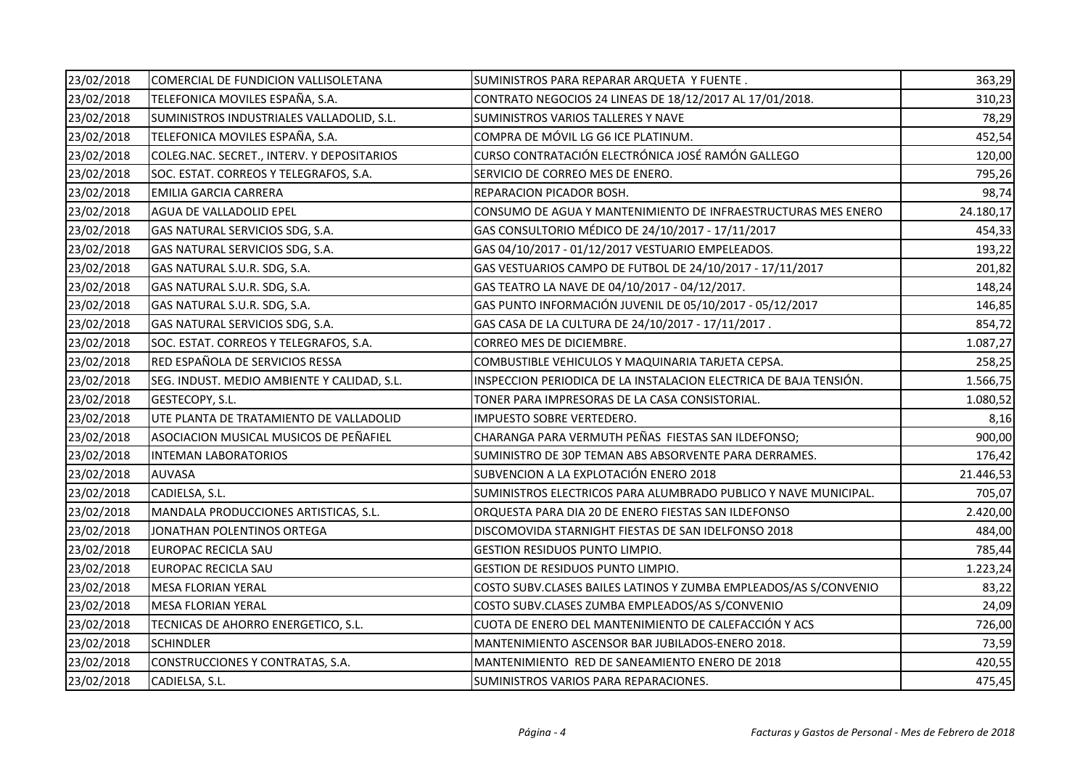| 23/02/2018 | COMERCIAL DE FUNDICION VALLISOLETANA        | SUMINISTROS PARA REPARAR ARQUETA Y FUENTE.                        | 363,29    |
|------------|---------------------------------------------|-------------------------------------------------------------------|-----------|
| 23/02/2018 | TELEFONICA MOVILES ESPAÑA, S.A.             | CONTRATO NEGOCIOS 24 LINEAS DE 18/12/2017 AL 17/01/2018.          | 310,23    |
| 23/02/2018 | SUMINISTROS INDUSTRIALES VALLADOLID, S.L.   | SUMINISTROS VARIOS TALLERES Y NAVE                                | 78,29     |
| 23/02/2018 | TELEFONICA MOVILES ESPAÑA, S.A.             | COMPRA DE MÓVIL LG G6 ICE PLATINUM.                               | 452,54    |
| 23/02/2018 | COLEG.NAC. SECRET., INTERV. Y DEPOSITARIOS  | CURSO CONTRATACIÓN ELECTRÓNICA JOSÉ RAMÓN GALLEGO                 | 120,00    |
| 23/02/2018 | SOC. ESTAT. CORREOS Y TELEGRAFOS, S.A.      | SERVICIO DE CORREO MES DE ENERO.                                  | 795,26    |
| 23/02/2018 | <b>EMILIA GARCIA CARRERA</b>                | REPARACION PICADOR BOSH.                                          | 98,74     |
| 23/02/2018 | AGUA DE VALLADOLID EPEL                     | CONSUMO DE AGUA Y MANTENIMIENTO DE INFRAESTRUCTURAS MES ENERO     | 24.180,17 |
| 23/02/2018 | GAS NATURAL SERVICIOS SDG, S.A.             | GAS CONSULTORIO MÉDICO DE 24/10/2017 - 17/11/2017                 | 454,33    |
| 23/02/2018 | GAS NATURAL SERVICIOS SDG, S.A.             | GAS 04/10/2017 - 01/12/2017 VESTUARIO EMPELEADOS.                 | 193,22    |
| 23/02/2018 | GAS NATURAL S.U.R. SDG, S.A.                | GAS VESTUARIOS CAMPO DE FUTBOL DE 24/10/2017 - 17/11/2017         | 201,82    |
| 23/02/2018 | GAS NATURAL S.U.R. SDG, S.A.                | GAS TEATRO LA NAVE DE 04/10/2017 - 04/12/2017.                    | 148,24    |
| 23/02/2018 | GAS NATURAL S.U.R. SDG, S.A.                | GAS PUNTO INFORMACIÓN JUVENIL DE 05/10/2017 - 05/12/2017          | 146,85    |
| 23/02/2018 | GAS NATURAL SERVICIOS SDG, S.A.             | GAS CASA DE LA CULTURA DE 24/10/2017 - 17/11/2017.                | 854,72    |
| 23/02/2018 | SOC. ESTAT. CORREOS Y TELEGRAFOS, S.A.      | CORREO MES DE DICIEMBRE.                                          | 1.087,27  |
| 23/02/2018 | RED ESPAÑOLA DE SERVICIOS RESSA             | COMBUSTIBLE VEHICULOS Y MAQUINARIA TARJETA CEPSA.                 | 258,25    |
| 23/02/2018 | SEG. INDUST. MEDIO AMBIENTE Y CALIDAD, S.L. | INSPECCION PERIODICA DE LA INSTALACION ELECTRICA DE BAJA TENSIÓN. | 1.566,75  |
| 23/02/2018 | GESTECOPY, S.L.                             | TONER PARA IMPRESORAS DE LA CASA CONSISTORIAL.                    | 1.080,52  |
| 23/02/2018 | UTE PLANTA DE TRATAMIENTO DE VALLADOLID     | IMPUESTO SOBRE VERTEDERO.                                         | 8,16      |
| 23/02/2018 | ASOCIACION MUSICAL MUSICOS DE PEÑAFIEL      | CHARANGA PARA VERMUTH PEÑAS FIESTAS SAN ILDEFONSO;                | 900,00    |
| 23/02/2018 | <b>INTEMAN LABORATORIOS</b>                 | SUMINISTRO DE 30P TEMAN ABS ABSORVENTE PARA DERRAMES.             | 176,42    |
| 23/02/2018 | <b>AUVASA</b>                               | SUBVENCION A LA EXPLOTACIÓN ENERO 2018                            | 21.446,53 |
| 23/02/2018 | CADIELSA, S.L.                              | SUMINISTROS ELECTRICOS PARA ALUMBRADO PUBLICO Y NAVE MUNICIPAL.   | 705,07    |
| 23/02/2018 | MANDALA PRODUCCIONES ARTISTICAS, S.L.       | ORQUESTA PARA DIA 20 DE ENERO FIESTAS SAN ILDEFONSO               | 2.420,00  |
| 23/02/2018 | JONATHAN POLENTINOS ORTEGA                  | DISCOMOVIDA STARNIGHT FIESTAS DE SAN IDELFONSO 2018               | 484,00    |
| 23/02/2018 | <b>EUROPAC RECICLA SAU</b>                  | <b>GESTION RESIDUOS PUNTO LIMPIO.</b>                             | 785,44    |
| 23/02/2018 | EUROPAC RECICLA SAU                         | GESTION DE RESIDUOS PUNTO LIMPIO.                                 | 1.223,24  |
| 23/02/2018 | <b>MESA FLORIAN YERAL</b>                   | COSTO SUBV.CLASES BAILES LATINOS Y ZUMBA EMPLEADOS/AS S/CONVENIO  | 83,22     |
| 23/02/2018 | <b>MESA FLORIAN YERAL</b>                   | COSTO SUBV.CLASES ZUMBA EMPLEADOS/AS S/CONVENIO                   | 24,09     |
| 23/02/2018 | TECNICAS DE AHORRO ENERGETICO, S.L.         | CUOTA DE ENERO DEL MANTENIMIENTO DE CALEFACCIÓN Y ACS             | 726,00    |
| 23/02/2018 | <b>SCHINDLER</b>                            | MANTENIMIENTO ASCENSOR BAR JUBILADOS-ENERO 2018.                  | 73,59     |
| 23/02/2018 | CONSTRUCCIONES Y CONTRATAS, S.A.            | MANTENIMIENTO RED DE SANEAMIENTO ENERO DE 2018                    | 420,55    |
| 23/02/2018 | CADIELSA, S.L.                              | SUMINISTROS VARIOS PARA REPARACIONES.                             | 475,45    |